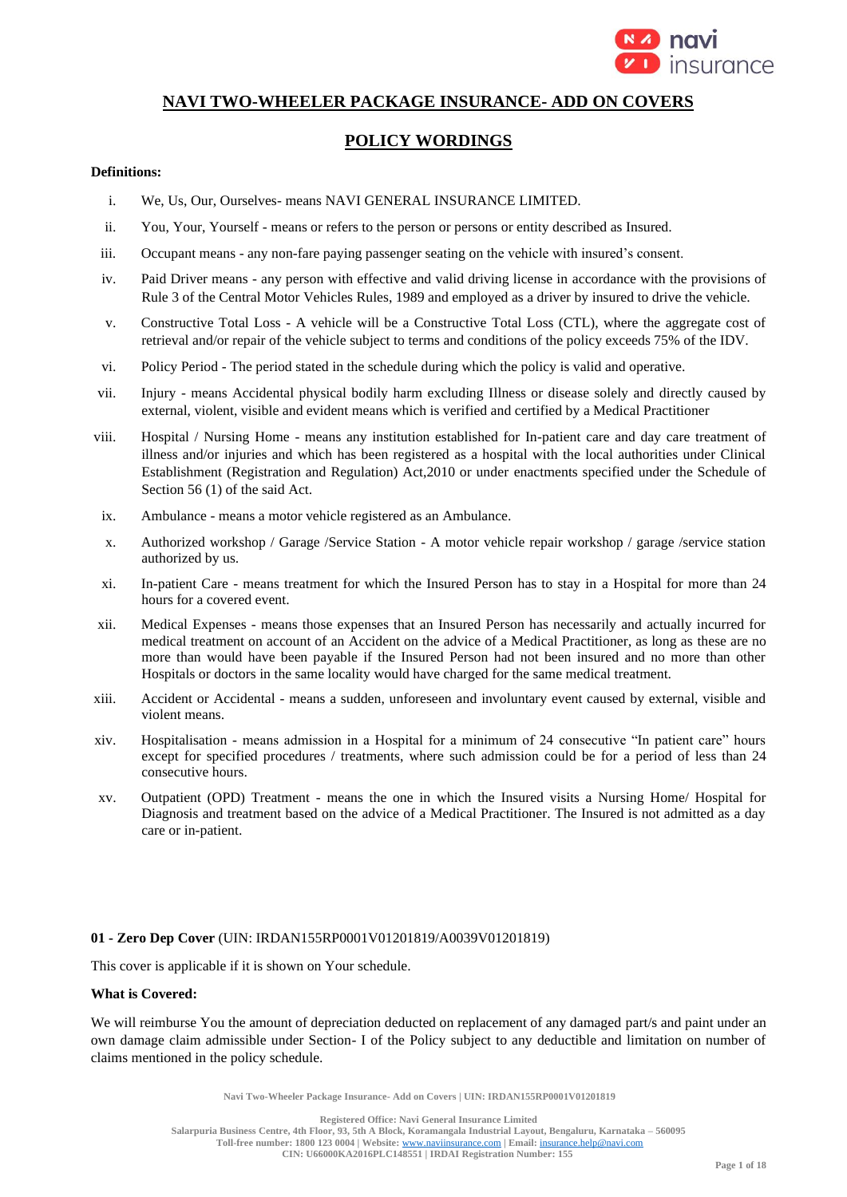

# **NAVI TWO-WHEELER PACKAGE INSURANCE- ADD ON COVERS**

# **POLICY WORDINGS**

#### **Definitions:**

- i. We, Us, Our, Ourselves- means NAVI GENERAL INSURANCE LIMITED.
- ii. You, Your, Yourself means or refers to the person or persons or entity described as Insured.
- iii. Occupant means any non-fare paying passenger seating on the vehicle with insured's consent.
- iv. Paid Driver means any person with effective and valid driving license in accordance with the provisions of Rule 3 of the Central Motor Vehicles Rules, 1989 and employed as a driver by insured to drive the vehicle.
- v. Constructive Total Loss A vehicle will be a Constructive Total Loss (CTL), where the aggregate cost of retrieval and/or repair of the vehicle subject to terms and conditions of the policy exceeds 75% of the IDV.
- vi. Policy Period The period stated in the schedule during which the policy is valid and operative.
- vii. Injury means Accidental physical bodily harm excluding Illness or disease solely and directly caused by external, violent, visible and evident means which is verified and certified by a Medical Practitioner
- viii. Hospital / Nursing Home means any institution established for In-patient care and day care treatment of illness and/or injuries and which has been registered as a hospital with the local authorities under Clinical Establishment (Registration and Regulation) Act,2010 or under enactments specified under the Schedule of Section 56 (1) of the said Act.
- ix. Ambulance means a motor vehicle registered as an Ambulance.
- x. Authorized workshop / Garage /Service Station A motor vehicle repair workshop / garage /service station authorized by us.
- xi. In-patient Care means treatment for which the Insured Person has to stay in a Hospital for more than 24 hours for a covered event.
- xii. Medical Expenses means those expenses that an Insured Person has necessarily and actually incurred for medical treatment on account of an Accident on the advice of a Medical Practitioner, as long as these are no more than would have been payable if the Insured Person had not been insured and no more than other Hospitals or doctors in the same locality would have charged for the same medical treatment.
- xiii. Accident or Accidental means a sudden, unforeseen and involuntary event caused by external, visible and violent means.
- xiv. Hospitalisation means admission in a Hospital for a minimum of 24 consecutive "In patient care" hours except for specified procedures / treatments, where such admission could be for a period of less than 24 consecutive hours.
- xv. Outpatient (OPD) Treatment means the one in which the Insured visits a Nursing Home/ Hospital for Diagnosis and treatment based on the advice of a Medical Practitioner. The Insured is not admitted as a day care or in-patient.

#### **01 - Zero Dep Cover** (UIN: IRDAN155RP0001V01201819/A0039V01201819)

This cover is applicable if it is shown on Your schedule.

#### **What is Covered:**

We will reimburse You the amount of depreciation deducted on replacement of any damaged part/s and paint under an own damage claim admissible under Section- I of the Policy subject to any deductible and limitation on number of claims mentioned in the policy schedule.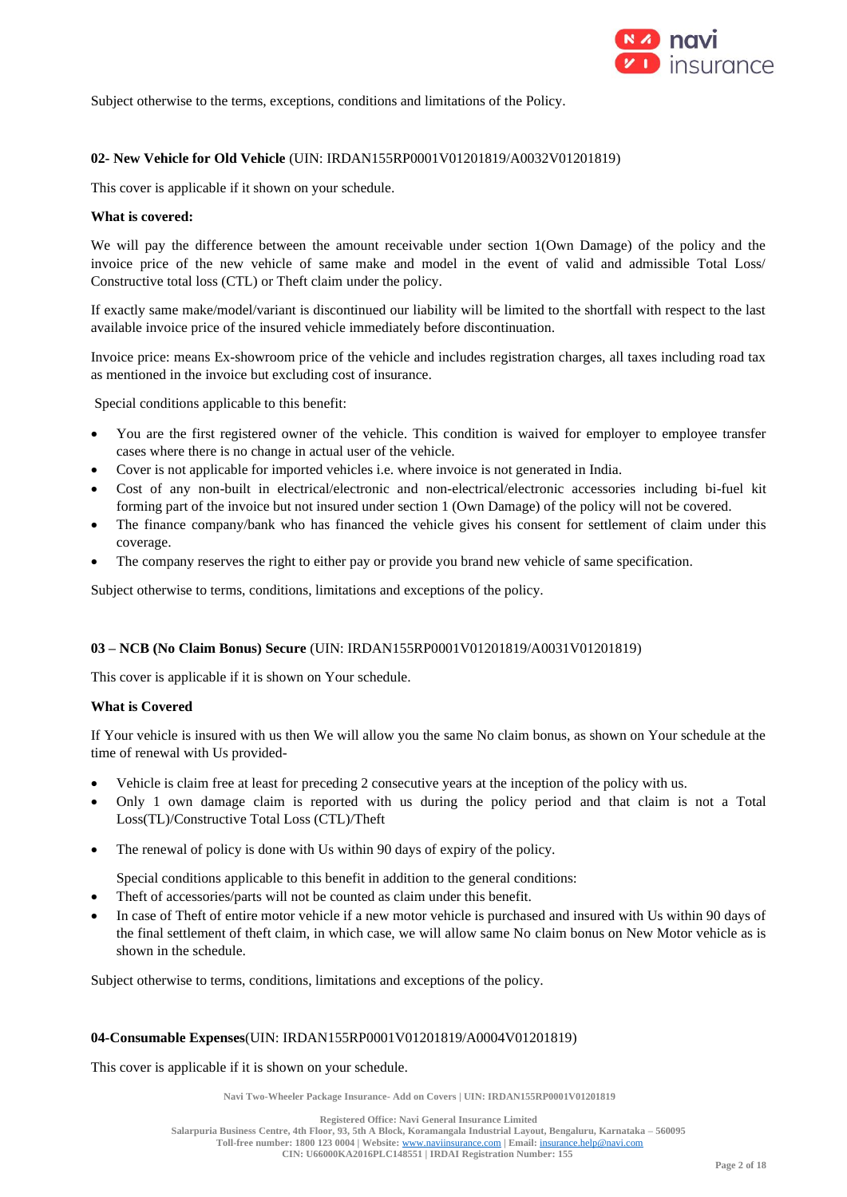

Subject otherwise to the terms, exceptions, conditions and limitations of the Policy.

#### **02- New Vehicle for Old Vehicle** (UIN: IRDAN155RP0001V01201819/A0032V01201819)

This cover is applicable if it shown on your schedule.

#### **What is covered:**

We will pay the difference between the amount receivable under section 1(Own Damage) of the policy and the invoice price of the new vehicle of same make and model in the event of valid and admissible Total Loss/ Constructive total loss (CTL) or Theft claim under the policy.

If exactly same make/model/variant is discontinued our liability will be limited to the shortfall with respect to the last available invoice price of the insured vehicle immediately before discontinuation.

Invoice price: means Ex-showroom price of the vehicle and includes registration charges, all taxes including road tax as mentioned in the invoice but excluding cost of insurance.

Special conditions applicable to this benefit:

- You are the first registered owner of the vehicle. This condition is waived for employer to employee transfer cases where there is no change in actual user of the vehicle.
- Cover is not applicable for imported vehicles i.e. where invoice is not generated in India.
- Cost of any non-built in electrical/electronic and non-electrical/electronic accessories including bi-fuel kit forming part of the invoice but not insured under section 1 (Own Damage) of the policy will not be covered.
- The finance company/bank who has financed the vehicle gives his consent for settlement of claim under this coverage.
- The company reserves the right to either pay or provide you brand new vehicle of same specification.

Subject otherwise to terms, conditions, limitations and exceptions of the policy.

#### **03 – NCB (No Claim Bonus) Secure** (UIN: IRDAN155RP0001V01201819/A0031V01201819)

This cover is applicable if it is shown on Your schedule.

#### **What is Covered**

If Your vehicle is insured with us then We will allow you the same No claim bonus, as shown on Your schedule at the time of renewal with Us provided-

- Vehicle is claim free at least for preceding 2 consecutive years at the inception of the policy with us.
- Only 1 own damage claim is reported with us during the policy period and that claim is not a Total Loss(TL)/Constructive Total Loss (CTL)/Theft
- The renewal of policy is done with Us within 90 days of expiry of the policy.

Special conditions applicable to this benefit in addition to the general conditions:

- Theft of accessories/parts will not be counted as claim under this benefit.
- In case of Theft of entire motor vehicle if a new motor vehicle is purchased and insured with Us within 90 days of the final settlement of theft claim, in which case, we will allow same No claim bonus on New Motor vehicle as is shown in the schedule.

Subject otherwise to terms, conditions, limitations and exceptions of the policy.

#### **04-Consumable Expenses**(UIN: IRDAN155RP0001V01201819/A0004V01201819)

This cover is applicable if it is shown on your schedule.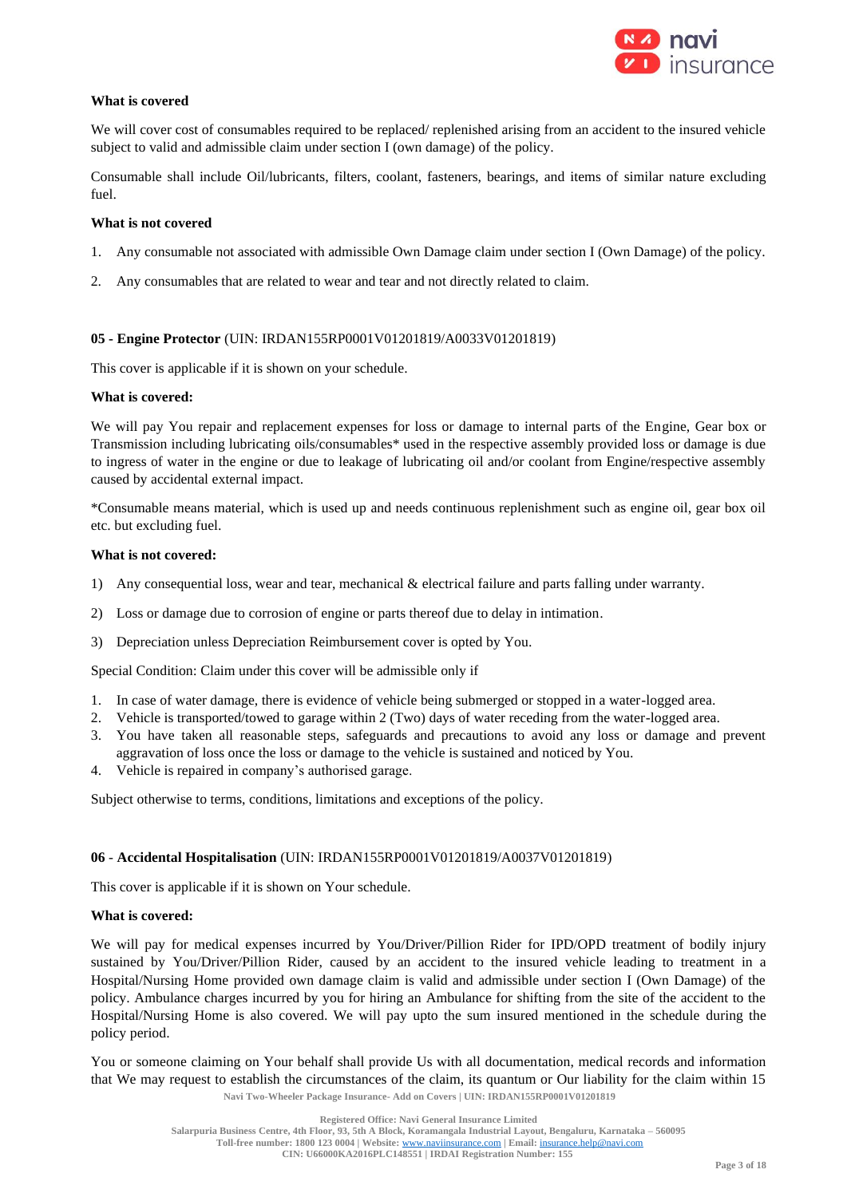

### **What is covered**

We will cover cost of consumables required to be replaced/ replenished arising from an accident to the insured vehicle subject to valid and admissible claim under section I (own damage) of the policy.

Consumable shall include Oil/lubricants, filters, coolant, fasteners, bearings, and items of similar nature excluding fuel.

#### **What is not covered**

- 1. Any consumable not associated with admissible Own Damage claim under section I (Own Damage) of the policy.
- 2. Any consumables that are related to wear and tear and not directly related to claim.

#### **05 - Engine Protector** (UIN: IRDAN155RP0001V01201819/A0033V01201819)

This cover is applicable if it is shown on your schedule.

#### **What is covered:**

We will pay You repair and replacement expenses for loss or damage to internal parts of the Engine, Gear box or Transmission including lubricating oils/consumables\* used in the respective assembly provided loss or damage is due to ingress of water in the engine or due to leakage of lubricating oil and/or coolant from Engine/respective assembly caused by accidental external impact.

\*Consumable means material, which is used up and needs continuous replenishment such as engine oil, gear box oil etc. but excluding fuel.

#### **What is not covered:**

- 1) Any consequential loss, wear and tear, mechanical & electrical failure and parts falling under warranty.
- 2) Loss or damage due to corrosion of engine or parts thereof due to delay in intimation.
- 3) Depreciation unless Depreciation Reimbursement cover is opted by You.

Special Condition: Claim under this cover will be admissible only if

- 1. In case of water damage, there is evidence of vehicle being submerged or stopped in a water-logged area.
- 2. Vehicle is transported/towed to garage within 2 (Two) days of water receding from the water-logged area.
- 3. You have taken all reasonable steps, safeguards and precautions to avoid any loss or damage and prevent aggravation of loss once the loss or damage to the vehicle is sustained and noticed by You.
- 4. Vehicle is repaired in company's authorised garage.

Subject otherwise to terms, conditions, limitations and exceptions of the policy.

#### **06** - **Accidental Hospitalisation** (UIN: IRDAN155RP0001V01201819/A0037V01201819)

This cover is applicable if it is shown on Your schedule.

#### **What is covered:**

We will pay for medical expenses incurred by You/Driver/Pillion Rider for IPD/OPD treatment of bodily injury sustained by You/Driver/Pillion Rider, caused by an accident to the insured vehicle leading to treatment in a Hospital/Nursing Home provided own damage claim is valid and admissible under section I (Own Damage) of the policy. Ambulance charges incurred by you for hiring an Ambulance for shifting from the site of the accident to the Hospital/Nursing Home is also covered. We will pay upto the sum insured mentioned in the schedule during the policy period.

**Navi Two-Wheeler Package Insurance- Add on Covers | UIN: IRDAN155RP0001V01201819** You or someone claiming on Your behalf shall provide Us with all documentation, medical records and information that We may request to establish the circumstances of the claim, its quantum or Our liability for the claim within 15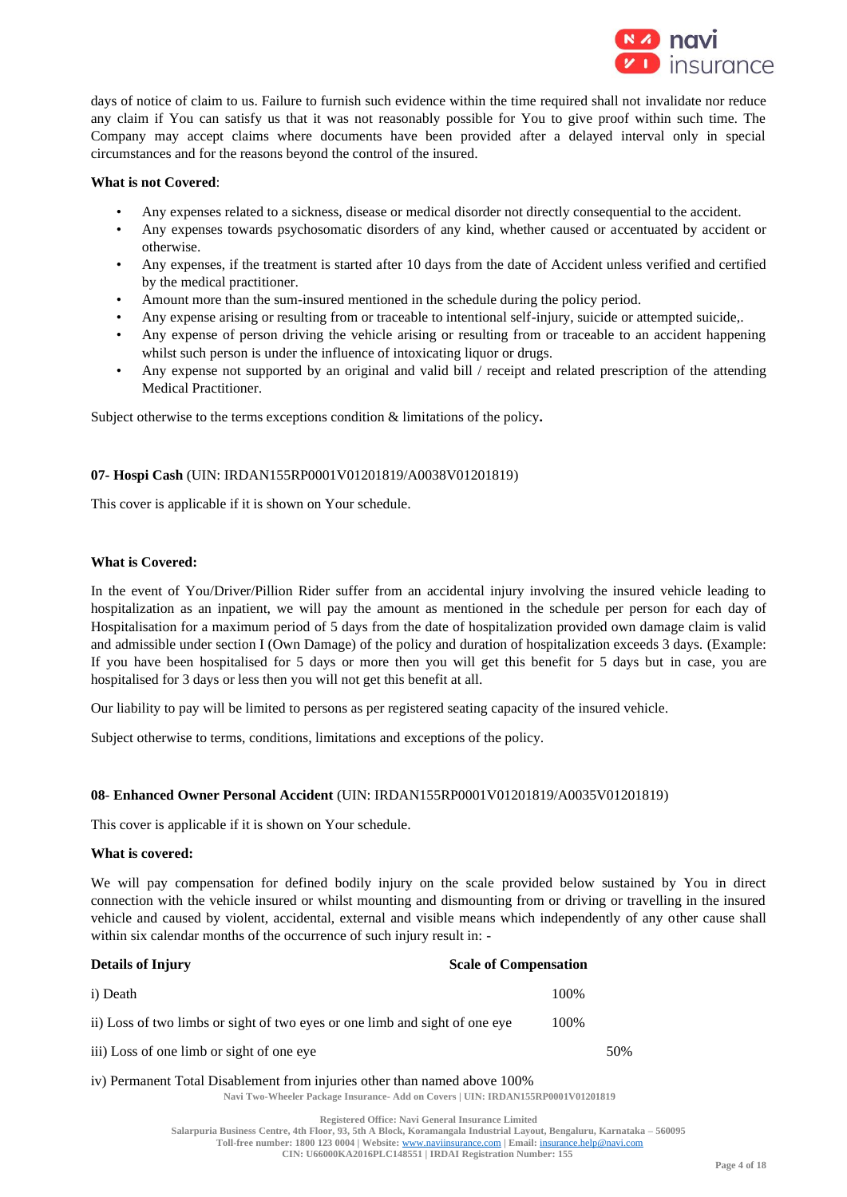

days of notice of claim to us. Failure to furnish such evidence within the time required shall not invalidate nor reduce any claim if You can satisfy us that it was not reasonably possible for You to give proof within such time. The Company may accept claims where documents have been provided after a delayed interval only in special circumstances and for the reasons beyond the control of the insured.

## **What is not Covered**:

- Any expenses related to a sickness, disease or medical disorder not directly consequential to the accident.
- Any expenses towards psychosomatic disorders of any kind, whether caused or accentuated by accident or otherwise.
- Any expenses, if the treatment is started after 10 days from the date of Accident unless verified and certified by the medical practitioner.
- Amount more than the sum-insured mentioned in the schedule during the policy period.
- Any expense arising or resulting from or traceable to intentional self-injury, suicide or attempted suicide,.
- Any expense of person driving the vehicle arising or resulting from or traceable to an accident happening whilst such person is under the influence of intoxicating liquor or drugs.
- Any expense not supported by an original and valid bill / receipt and related prescription of the attending Medical Practitioner.

Subject otherwise to the terms exceptions condition & limitations of the policy**.**

# **07- Hospi Cash** (UIN: IRDAN155RP0001V01201819/A0038V01201819)

This cover is applicable if it is shown on Your schedule.

### **What is Covered:**

In the event of You/Driver/Pillion Rider suffer from an accidental injury involving the insured vehicle leading to hospitalization as an inpatient, we will pay the amount as mentioned in the schedule per person for each day of Hospitalisation for a maximum period of 5 days from the date of hospitalization provided own damage claim is valid and admissible under section I (Own Damage) of the policy and duration of hospitalization exceeds 3 days. (Example: If you have been hospitalised for 5 days or more then you will get this benefit for 5 days but in case, you are hospitalised for 3 days or less then you will not get this benefit at all.

Our liability to pay will be limited to persons as per registered seating capacity of the insured vehicle.

Subject otherwise to terms, conditions, limitations and exceptions of the policy.

### **08**- **Enhanced Owner Personal Accident** (UIN: IRDAN155RP0001V01201819/A0035V01201819)

This cover is applicable if it is shown on Your schedule.

### **What is covered:**

We will pay compensation for defined bodily injury on the scale provided below sustained by You in direct connection with the vehicle insured or whilst mounting and dismounting from or driving or travelling in the insured vehicle and caused by violent, accidental, external and visible means which independently of any other cause shall within six calendar months of the occurrence of such injury result in: -

| <b>Details of Injury</b>                                                                                                                                      | <b>Scale of Compensation</b> |  |
|---------------------------------------------------------------------------------------------------------------------------------------------------------------|------------------------------|--|
| i) Death                                                                                                                                                      | 100%                         |  |
| ii) Loss of two limbs or sight of two eyes or one limb and sight of one eye                                                                                   | 100%                         |  |
| iii) Loss of one limb or sight of one eve                                                                                                                     | 50%                          |  |
| iv) Permanent Total Disablement from injuries other than named above 100%<br>Navi Two-Wheeler Package Insurance- Add on Covers   UIN: IRDAN155RP0001V01201819 |                              |  |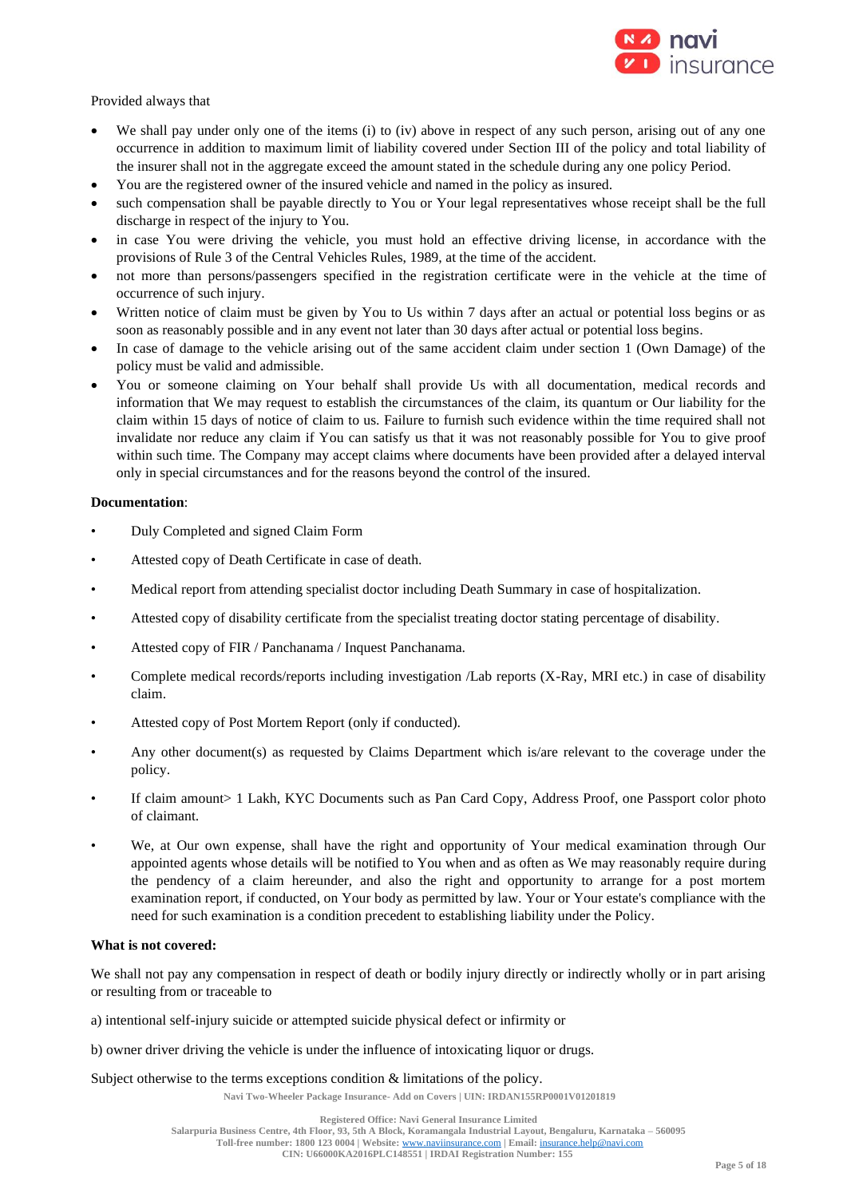

### Provided always that

- We shall pay under only one of the items (i) to (iv) above in respect of any such person, arising out of any one occurrence in addition to maximum limit of liability covered under Section III of the policy and total liability of the insurer shall not in the aggregate exceed the amount stated in the schedule during any one policy Period.
- You are the registered owner of the insured vehicle and named in the policy as insured.
- such compensation shall be payable directly to You or Your legal representatives whose receipt shall be the full discharge in respect of the injury to You.
- in case You were driving the vehicle, you must hold an effective driving license, in accordance with the provisions of Rule 3 of the Central Vehicles Rules, 1989, at the time of the accident.
- not more than persons/passengers specified in the registration certificate were in the vehicle at the time of occurrence of such injury.
- Written notice of claim must be given by You to Us within 7 days after an actual or potential loss begins or as soon as reasonably possible and in any event not later than 30 days after actual or potential loss begins.
- In case of damage to the vehicle arising out of the same accident claim under section 1 (Own Damage) of the policy must be valid and admissible.
- You or someone claiming on Your behalf shall provide Us with all documentation, medical records and information that We may request to establish the circumstances of the claim, its quantum or Our liability for the claim within 15 days of notice of claim to us. Failure to furnish such evidence within the time required shall not invalidate nor reduce any claim if You can satisfy us that it was not reasonably possible for You to give proof within such time. The Company may accept claims where documents have been provided after a delayed interval only in special circumstances and for the reasons beyond the control of the insured.

#### **Documentation**:

- Duly Completed and signed Claim Form
- Attested copy of Death Certificate in case of death.
- Medical report from attending specialist doctor including Death Summary in case of hospitalization.
- Attested copy of disability certificate from the specialist treating doctor stating percentage of disability.
- Attested copy of FIR / Panchanama / Inquest Panchanama.
- Complete medical records/reports including investigation /Lab reports (X-Ray, MRI etc.) in case of disability claim.
- Attested copy of Post Mortem Report (only if conducted).
- Any other document(s) as requested by Claims Department which is/are relevant to the coverage under the policy.
- If claim amount> 1 Lakh, KYC Documents such as Pan Card Copy, Address Proof, one Passport color photo of claimant.
- We, at Our own expense, shall have the right and opportunity of Your medical examination through Our appointed agents whose details will be notified to You when and as often as We may reasonably require during the pendency of a claim hereunder, and also the right and opportunity to arrange for a post mortem examination report, if conducted, on Your body as permitted by law. Your or Your estate's compliance with the need for such examination is a condition precedent to establishing liability under the Policy.

### **What is not covered:**

We shall not pay any compensation in respect of death or bodily injury directly or indirectly wholly or in part arising or resulting from or traceable to

- a) intentional self-injury suicide or attempted suicide physical defect or infirmity or
- b) owner driver driving the vehicle is under the influence of intoxicating liquor or drugs.

Subject otherwise to the terms exceptions condition & limitations of the policy.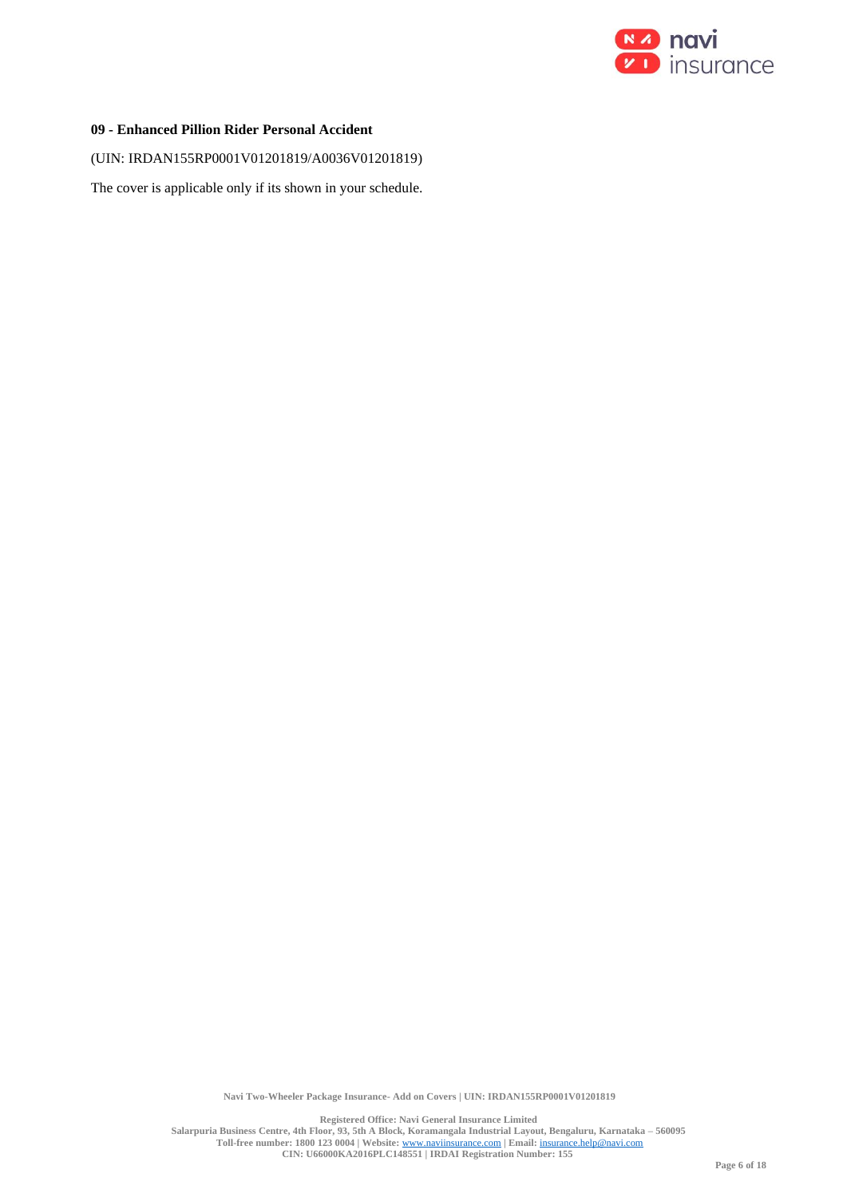

# **09 - Enhanced Pillion Rider Personal Accident**

(UIN: IRDAN155RP0001V01201819/A0036V01201819)

The cover is applicable only if its shown in your schedule.

**Navi Two-Wheeler Package Insurance- Add on Covers | UIN: IRDAN155RP0001V01201819**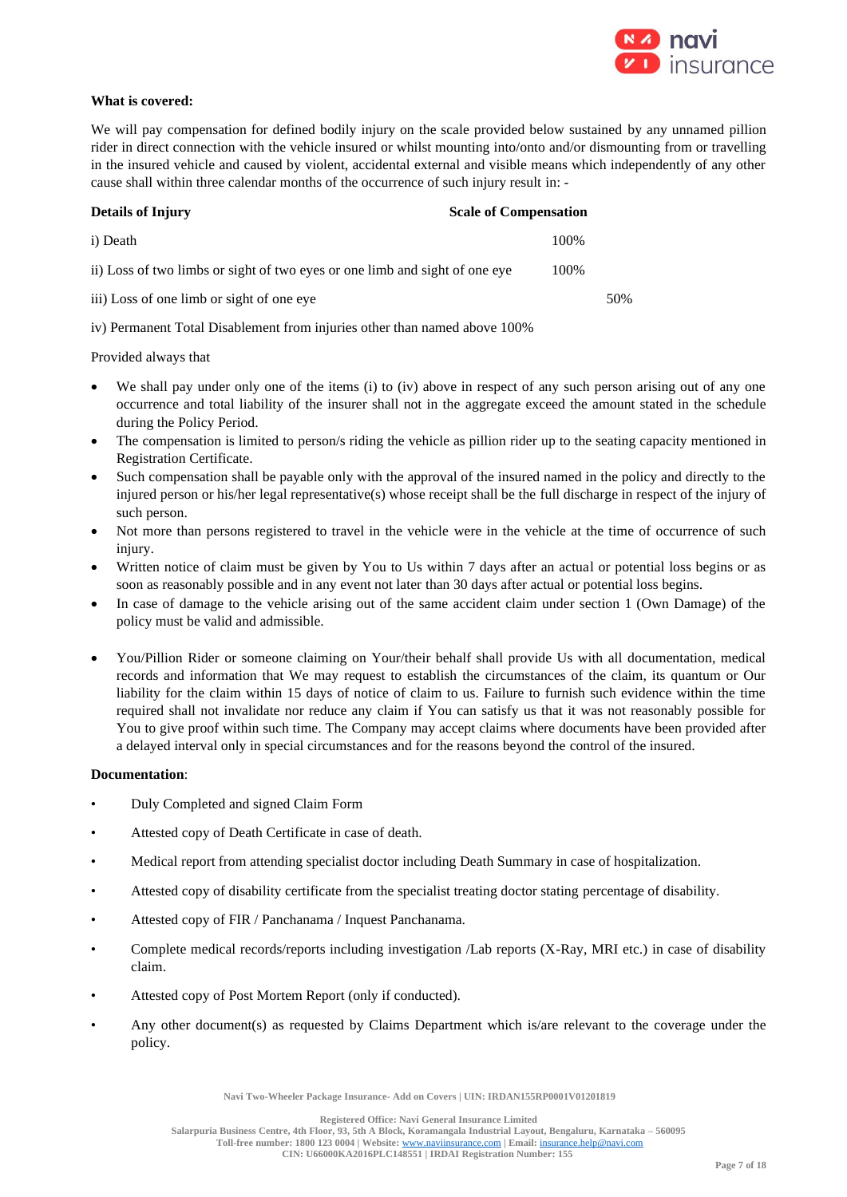

## **What is covered:**

We will pay compensation for defined bodily injury on the scale provided below sustained by any unnamed pillion rider in direct connection with the vehicle insured or whilst mounting into/onto and/or dismounting from or travelling in the insured vehicle and caused by violent, accidental external and visible means which independently of any other cause shall within three calendar months of the occurrence of such injury result in: -

| <b>Scale of Compensation</b><br><b>Details of Injury</b>                    |  |      |     |
|-----------------------------------------------------------------------------|--|------|-----|
| i) Death                                                                    |  | 100% |     |
| ii) Loss of two limbs or sight of two eyes or one limb and sight of one eye |  | 100% |     |
| iii) Loss of one limb or sight of one eye                                   |  |      | 50% |
| iv) Permanent Total Disablement from injuries other than named above 100%   |  |      |     |

Provided always that

- We shall pay under only one of the items (i) to (iv) above in respect of any such person arising out of any one occurrence and total liability of the insurer shall not in the aggregate exceed the amount stated in the schedule during the Policy Period.
- The compensation is limited to person/s riding the vehicle as pillion rider up to the seating capacity mentioned in Registration Certificate.
- Such compensation shall be payable only with the approval of the insured named in the policy and directly to the injured person or his/her legal representative(s) whose receipt shall be the full discharge in respect of the injury of such person.
- Not more than persons registered to travel in the vehicle were in the vehicle at the time of occurrence of such injury.
- Written notice of claim must be given by You to Us within 7 days after an actual or potential loss begins or as soon as reasonably possible and in any event not later than 30 days after actual or potential loss begins.
- In case of damage to the vehicle arising out of the same accident claim under section 1 (Own Damage) of the policy must be valid and admissible.
- You/Pillion Rider or someone claiming on Your/their behalf shall provide Us with all documentation, medical records and information that We may request to establish the circumstances of the claim, its quantum or Our liability for the claim within 15 days of notice of claim to us. Failure to furnish such evidence within the time required shall not invalidate nor reduce any claim if You can satisfy us that it was not reasonably possible for You to give proof within such time. The Company may accept claims where documents have been provided after a delayed interval only in special circumstances and for the reasons beyond the control of the insured.

#### **Documentation**:

- Duly Completed and signed Claim Form
- Attested copy of Death Certificate in case of death.
- Medical report from attending specialist doctor including Death Summary in case of hospitalization.
- Attested copy of disability certificate from the specialist treating doctor stating percentage of disability.
- Attested copy of FIR / Panchanama / Inquest Panchanama.
- Complete medical records/reports including investigation /Lab reports (X-Ray, MRI etc.) in case of disability claim.
- Attested copy of Post Mortem Report (only if conducted).
- Any other document(s) as requested by Claims Department which is/are relevant to the coverage under the policy.

**Navi Two-Wheeler Package Insurance- Add on Covers | UIN: IRDAN155RP0001V01201819**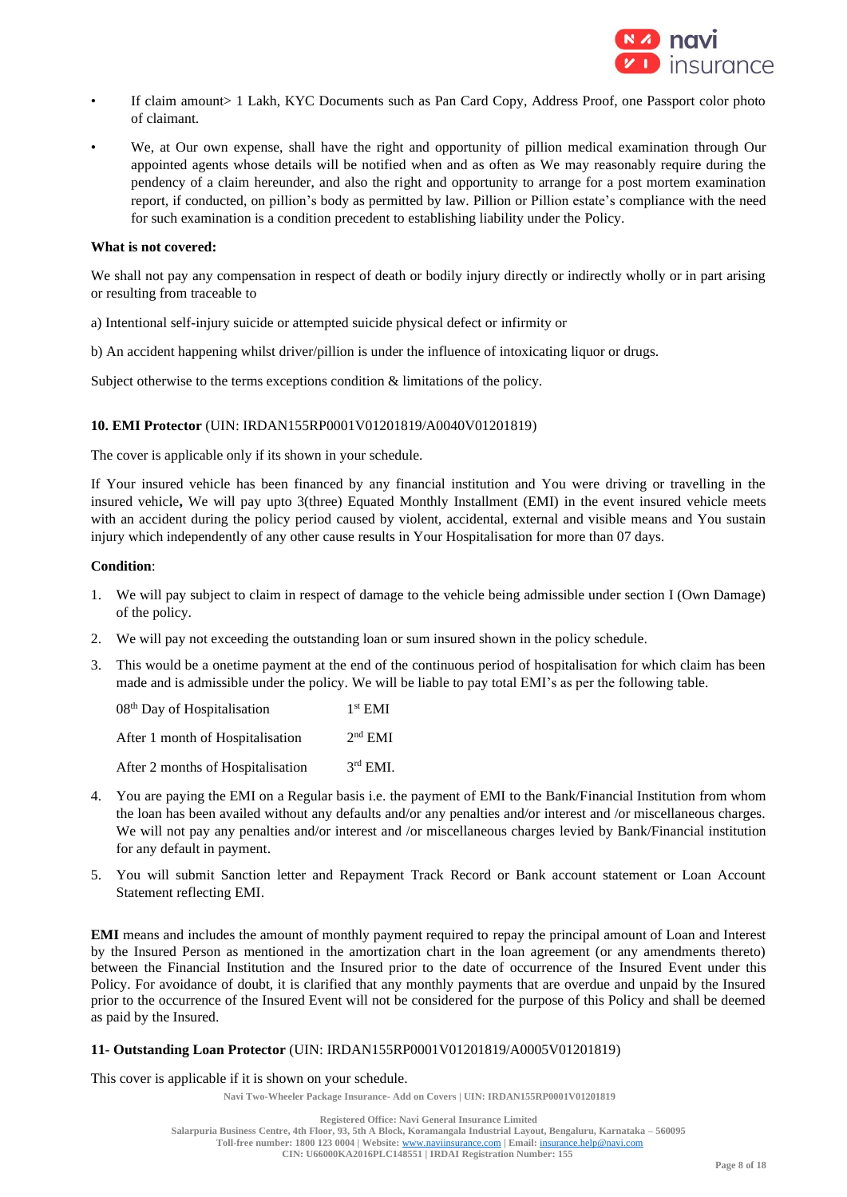

- If claim amount> 1 Lakh, KYC Documents such as Pan Card Copy, Address Proof, one Passport color photo of claimant.
- We, at Our own expense, shall have the right and opportunity of pillion medical examination through Our appointed agents whose details will be notified when and as often as We may reasonably require during the pendency of a claim hereunder, and also the right and opportunity to arrange for a post mortem examination report, if conducted, on pillion's body as permitted by law. Pillion or Pillion estate's compliance with the need for such examination is a condition precedent to establishing liability under the Policy.

#### **What is not covered:**

We shall not pay any compensation in respect of death or bodily injury directly or indirectly wholly or in part arising or resulting from traceable to

- a) Intentional self-injury suicide or attempted suicide physical defect or infirmity or
- b) An accident happening whilst driver/pillion is under the influence of intoxicating liquor or drugs.

Subject otherwise to the terms exceptions condition & limitations of the policy.

#### **10. EMI Protector** (UIN: IRDAN155RP0001V01201819/A0040V01201819)

The cover is applicable only if its shown in your schedule.

If Your insured vehicle has been financed by any financial institution and You were driving or travelling in the insured vehicle**,** We will pay upto 3(three) Equated Monthly Installment (EMI) in the event insured vehicle meets with an accident during the policy period caused by violent, accidental, external and visible means and You sustain injury which independently of any other cause results in Your Hospitalisation for more than 07 days.

#### **Condition**:

- 1. We will pay subject to claim in respect of damage to the vehicle being admissible under section I (Own Damage) of the policy.
- 2. We will pay not exceeding the outstanding loan or sum insured shown in the policy schedule.
- 3. This would be a onetime payment at the end of the continuous period of hospitalisation for which claim has been made and is admissible under the policy. We will be liable to pay total EMI's as per the following table.

| 08 <sup>th</sup> Day of Hospitalisation | $1st$ EMI  |
|-----------------------------------------|------------|
| After 1 month of Hospitalisation        | $2nd$ EMI  |
| After 2 months of Hospitalisation       | $3rd$ EMI. |

- 4. You are paying the EMI on a Regular basis i.e. the payment of EMI to the Bank/Financial Institution from whom the loan has been availed without any defaults and/or any penalties and/or interest and /or miscellaneous charges. We will not pay any penalties and/or interest and /or miscellaneous charges levied by Bank/Financial institution for any default in payment.
- 5. You will submit Sanction letter and Repayment Track Record or Bank account statement or Loan Account Statement reflecting EMI.

**EMI** means and includes the amount of monthly payment required to repay the principal amount of Loan and Interest by the Insured Person as mentioned in the amortization chart in the loan agreement (or any amendments thereto) between the Financial Institution and the Insured prior to the date of occurrence of the Insured Event under this Policy. For avoidance of doubt, it is clarified that any monthly payments that are overdue and unpaid by the Insured prior to the occurrence of the Insured Event will not be considered for the purpose of this Policy and shall be deemed as paid by the Insured.

#### **11**- **Outstanding Loan Protector** (UIN: IRDAN155RP0001V01201819/A0005V01201819)

This cover is applicable if it is shown on your schedule.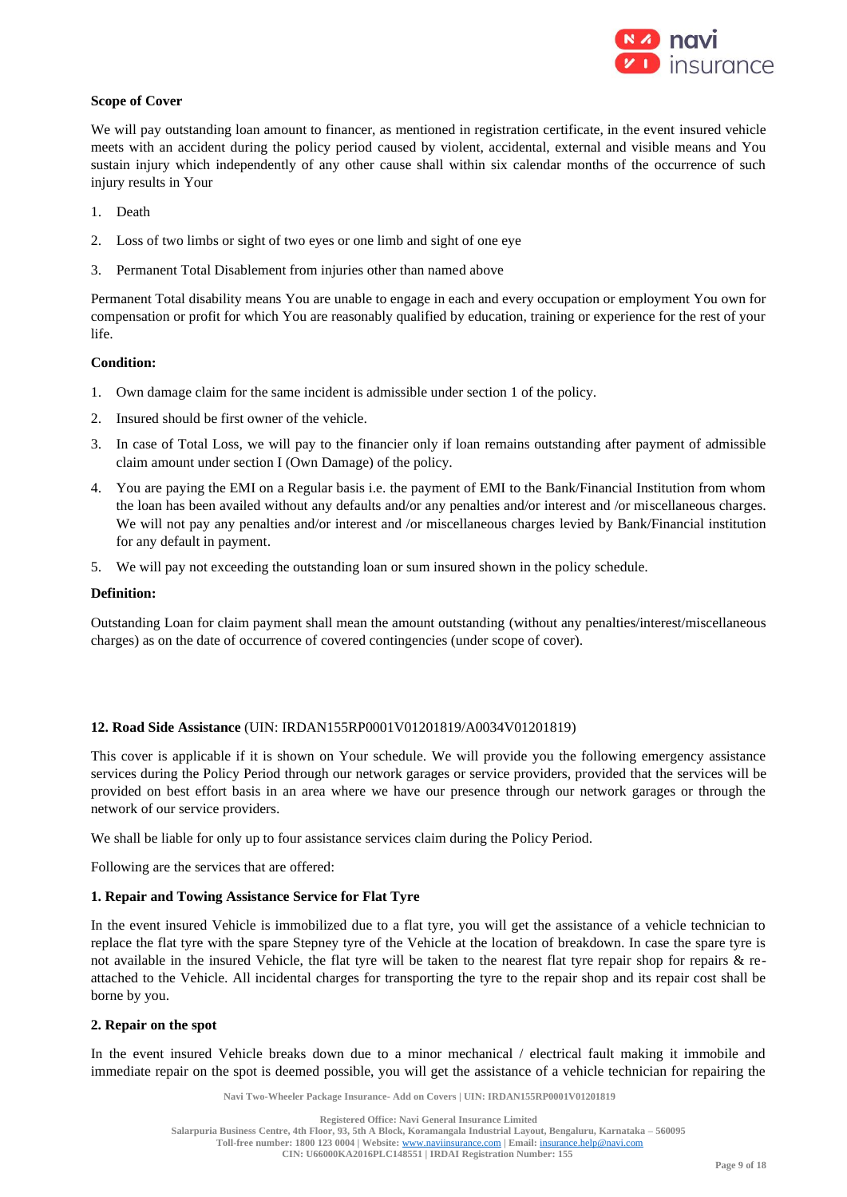

### **Scope of Cover**

We will pay outstanding loan amount to financer, as mentioned in registration certificate, in the event insured vehicle meets with an accident during the policy period caused by violent, accidental, external and visible means and You sustain injury which independently of any other cause shall within six calendar months of the occurrence of such injury results in Your

- 1. Death
- 2. Loss of two limbs or sight of two eyes or one limb and sight of one eye
- 3. Permanent Total Disablement from injuries other than named above

Permanent Total disability means You are unable to engage in each and every occupation or employment You own for compensation or profit for which You are reasonably qualified by education, training or experience for the rest of your life.

#### **Condition:**

- 1. Own damage claim for the same incident is admissible under section 1 of the policy.
- 2. Insured should be first owner of the vehicle.
- 3. In case of Total Loss, we will pay to the financier only if loan remains outstanding after payment of admissible claim amount under section I (Own Damage) of the policy.
- 4. You are paying the EMI on a Regular basis i.e. the payment of EMI to the Bank/Financial Institution from whom the loan has been availed without any defaults and/or any penalties and/or interest and /or miscellaneous charges. We will not pay any penalties and/or interest and /or miscellaneous charges levied by Bank/Financial institution for any default in payment.
- 5. We will pay not exceeding the outstanding loan or sum insured shown in the policy schedule.

#### **Definition:**

Outstanding Loan for claim payment shall mean the amount outstanding (without any penalties/interest/miscellaneous charges) as on the date of occurrence of covered contingencies (under scope of cover).

### **12. Road Side Assistance** (UIN: IRDAN155RP0001V01201819/A0034V01201819)

This cover is applicable if it is shown on Your schedule. We will provide you the following emergency assistance services during the Policy Period through our network garages or service providers, provided that the services will be provided on best effort basis in an area where we have our presence through our network garages or through the network of our service providers.

We shall be liable for only up to four assistance services claim during the Policy Period.

Following are the services that are offered:

### **1. Repair and Towing Assistance Service for Flat Tyre**

In the event insured Vehicle is immobilized due to a flat tyre, you will get the assistance of a vehicle technician to replace the flat tyre with the spare Stepney tyre of the Vehicle at the location of breakdown. In case the spare tyre is not available in the insured Vehicle, the flat tyre will be taken to the nearest flat tyre repair shop for repairs & reattached to the Vehicle. All incidental charges for transporting the tyre to the repair shop and its repair cost shall be borne by you.

#### **2. Repair on the spot**

In the event insured Vehicle breaks down due to a minor mechanical / electrical fault making it immobile and immediate repair on the spot is deemed possible, you will get the assistance of a vehicle technician for repairing the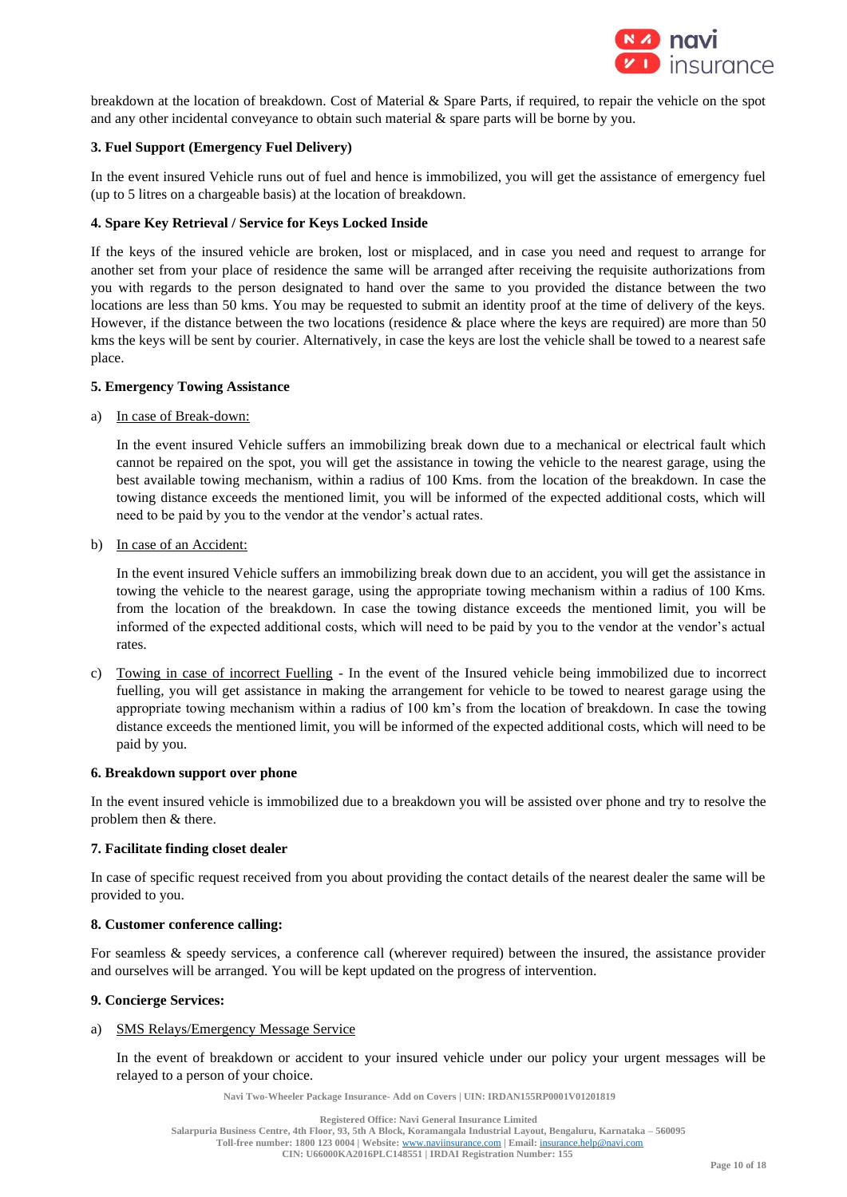

breakdown at the location of breakdown. Cost of Material & Spare Parts, if required, to repair the vehicle on the spot and any other incidental conveyance to obtain such material & spare parts will be borne by you.

## **3. Fuel Support (Emergency Fuel Delivery)**

In the event insured Vehicle runs out of fuel and hence is immobilized, you will get the assistance of emergency fuel (up to 5 litres on a chargeable basis) at the location of breakdown.

## **4. Spare Key Retrieval / Service for Keys Locked Inside**

If the keys of the insured vehicle are broken, lost or misplaced, and in case you need and request to arrange for another set from your place of residence the same will be arranged after receiving the requisite authorizations from you with regards to the person designated to hand over the same to you provided the distance between the two locations are less than 50 kms. You may be requested to submit an identity proof at the time of delivery of the keys. However, if the distance between the two locations (residence & place where the keys are required) are more than 50 kms the keys will be sent by courier. Alternatively, in case the keys are lost the vehicle shall be towed to a nearest safe place.

### **5. Emergency Towing Assistance**

### a) In case of Break-down:

In the event insured Vehicle suffers an immobilizing break down due to a mechanical or electrical fault which cannot be repaired on the spot, you will get the assistance in towing the vehicle to the nearest garage, using the best available towing mechanism, within a radius of 100 Kms. from the location of the breakdown. In case the towing distance exceeds the mentioned limit, you will be informed of the expected additional costs, which will need to be paid by you to the vendor at the vendor's actual rates.

### b) In case of an Accident:

In the event insured Vehicle suffers an immobilizing break down due to an accident, you will get the assistance in towing the vehicle to the nearest garage, using the appropriate towing mechanism within a radius of 100 Kms. from the location of the breakdown. In case the towing distance exceeds the mentioned limit, you will be informed of the expected additional costs, which will need to be paid by you to the vendor at the vendor's actual rates.

c) Towing in case of incorrect Fuelling - In the event of the Insured vehicle being immobilized due to incorrect fuelling, you will get assistance in making the arrangement for vehicle to be towed to nearest garage using the appropriate towing mechanism within a radius of 100 km's from the location of breakdown. In case the towing distance exceeds the mentioned limit, you will be informed of the expected additional costs, which will need to be paid by you.

### **6. Breakdown support over phone**

In the event insured vehicle is immobilized due to a breakdown you will be assisted over phone and try to resolve the problem then & there.

### **7. Facilitate finding closet dealer**

In case of specific request received from you about providing the contact details of the nearest dealer the same will be provided to you.

### **8. Customer conference calling:**

For seamless & speedy services, a conference call (wherever required) between the insured, the assistance provider and ourselves will be arranged. You will be kept updated on the progress of intervention.

### **9. Concierge Services:**

### a) SMS Relays/Emergency Message Service

In the event of breakdown or accident to your insured vehicle under our policy your urgent messages will be relayed to a person of your choice.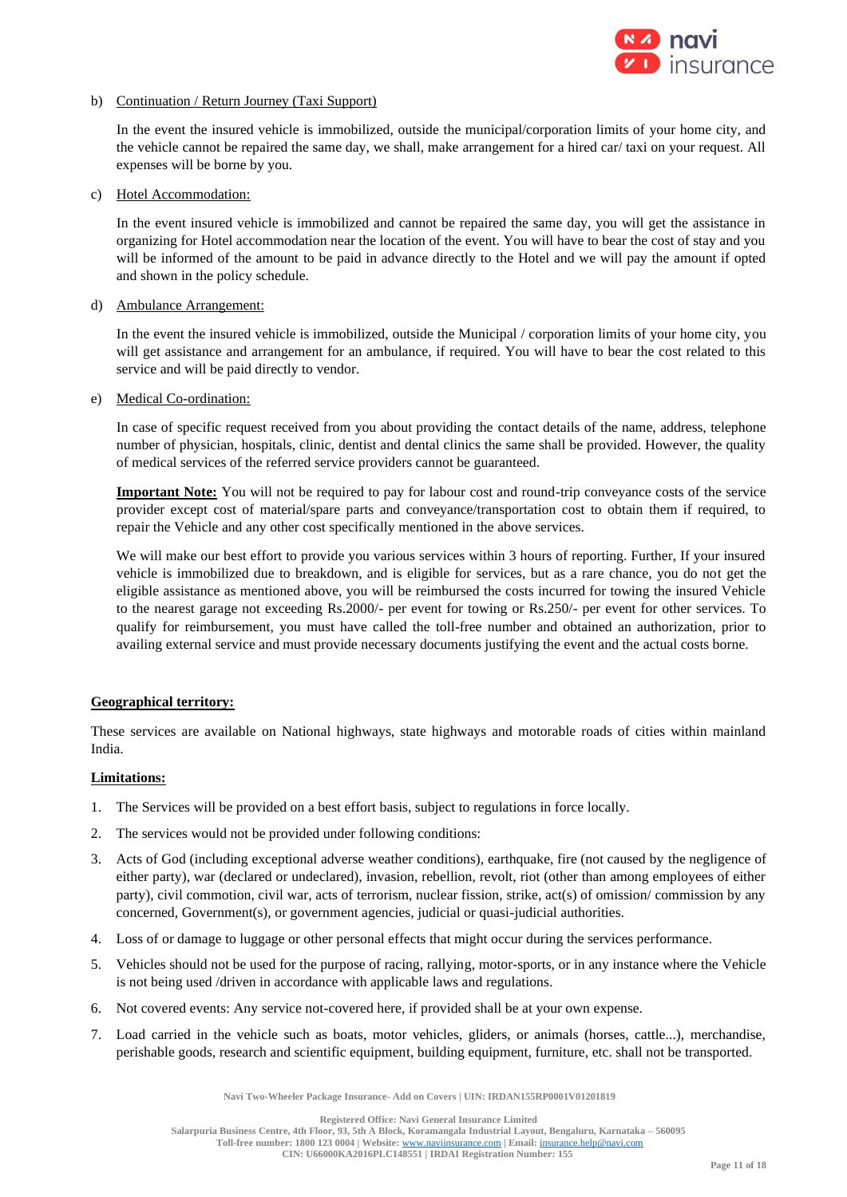

#### b) Continuation / Return Journey (Taxi Support)

In the event the insured vehicle is immobilized, outside the municipal/corporation limits of your home city, and the vehicle cannot be repaired the same day, we shall, make arrangement for a hired car/ taxi on your request. All expenses will be borne by you.

c) Hotel Accommodation:

In the event insured vehicle is immobilized and cannot be repaired the same day, you will get the assistance in organizing for Hotel accommodation near the location of the event. You will have to bear the cost of stay and you will be informed of the amount to be paid in advance directly to the Hotel and we will pay the amount if opted and shown in the policy schedule.

#### d) Ambulance Arrangement:

In the event the insured vehicle is immobilized, outside the Municipal / corporation limits of your home city, you will get assistance and arrangement for an ambulance, if required. You will have to bear the cost related to this service and will be paid directly to vendor.

#### e) Medical Co-ordination:

In case of specific request received from you about providing the contact details of the name, address, telephone number of physician, hospitals, clinic, dentist and dental clinics the same shall be provided. However, the quality of medical services of the referred service providers cannot be guaranteed.

**Important Note:** You will not be required to pay for labour cost and round-trip conveyance costs of the service provider except cost of material/spare parts and conveyance/transportation cost to obtain them if required, to repair the Vehicle and any other cost specifically mentioned in the above services.

We will make our best effort to provide you various services within 3 hours of reporting. Further, If your insured vehicle is immobilized due to breakdown, and is eligible for services, but as a rare chance, you do not get the eligible assistance as mentioned above, you will be reimbursed the costs incurred for towing the insured Vehicle to the nearest garage not exceeding Rs.2000/- per event for towing or Rs.250/- per event for other services. To qualify for reimbursement, you must have called the toll-free number and obtained an authorization, prior to availing external service and must provide necessary documents justifying the event and the actual costs borne.

### **Geographical territory:**

These services are available on National highways, state highways and motorable roads of cities within mainland India.

### **Limitations:**

- 1. The Services will be provided on a best effort basis, subject to regulations in force locally.
- 2. The services would not be provided under following conditions:
- 3. Acts of God (including exceptional adverse weather conditions), earthquake, fire (not caused by the negligence of either party), war (declared or undeclared), invasion, rebellion, revolt, riot (other than among employees of either party), civil commotion, civil war, acts of terrorism, nuclear fission, strike, act(s) of omission/ commission by any concerned, Government(s), or government agencies, judicial or quasi-judicial authorities.
- 4. Loss of or damage to luggage or other personal effects that might occur during the services performance.
- 5. Vehicles should not be used for the purpose of racing, rallying, motor-sports, or in any instance where the Vehicle is not being used /driven in accordance with applicable laws and regulations.
- 6. Not covered events: Any service not-covered here, if provided shall be at your own expense.
- 7. Load carried in the vehicle such as boats, motor vehicles, gliders, or animals (horses, cattle...), merchandise, perishable goods, research and scientific equipment, building equipment, furniture, etc. shall not be transported.

**Navi Two-Wheeler Package Insurance- Add on Covers | UIN: IRDAN155RP0001V01201819**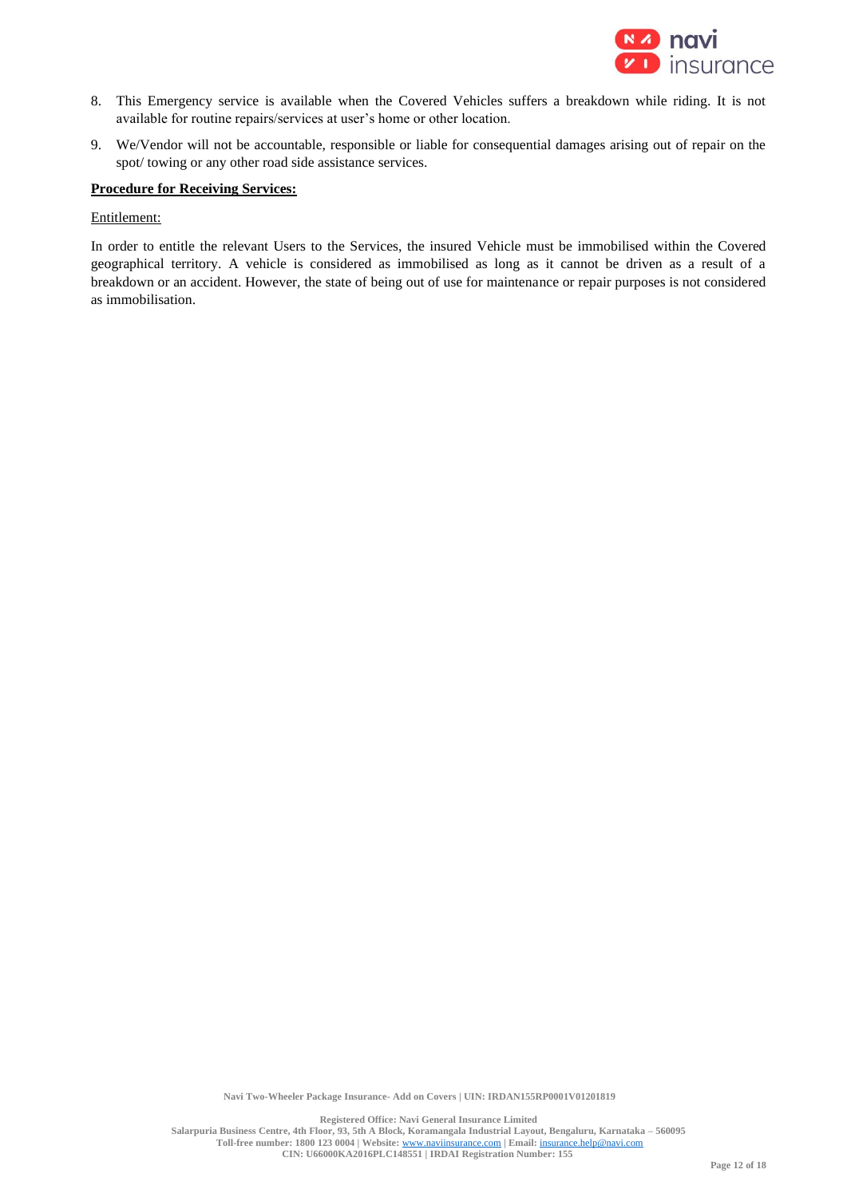

- 8. This Emergency service is available when the Covered Vehicles suffers a breakdown while riding. It is not available for routine repairs/services at user's home or other location.
- 9. We/Vendor will not be accountable, responsible or liable for consequential damages arising out of repair on the spot/ towing or any other road side assistance services.

### **Procedure for Receiving Services:**

#### Entitlement:

In order to entitle the relevant Users to the Services, the insured Vehicle must be immobilised within the Covered geographical territory. A vehicle is considered as immobilised as long as it cannot be driven as a result of a breakdown or an accident. However, the state of being out of use for maintenance or repair purposes is not considered as immobilisation.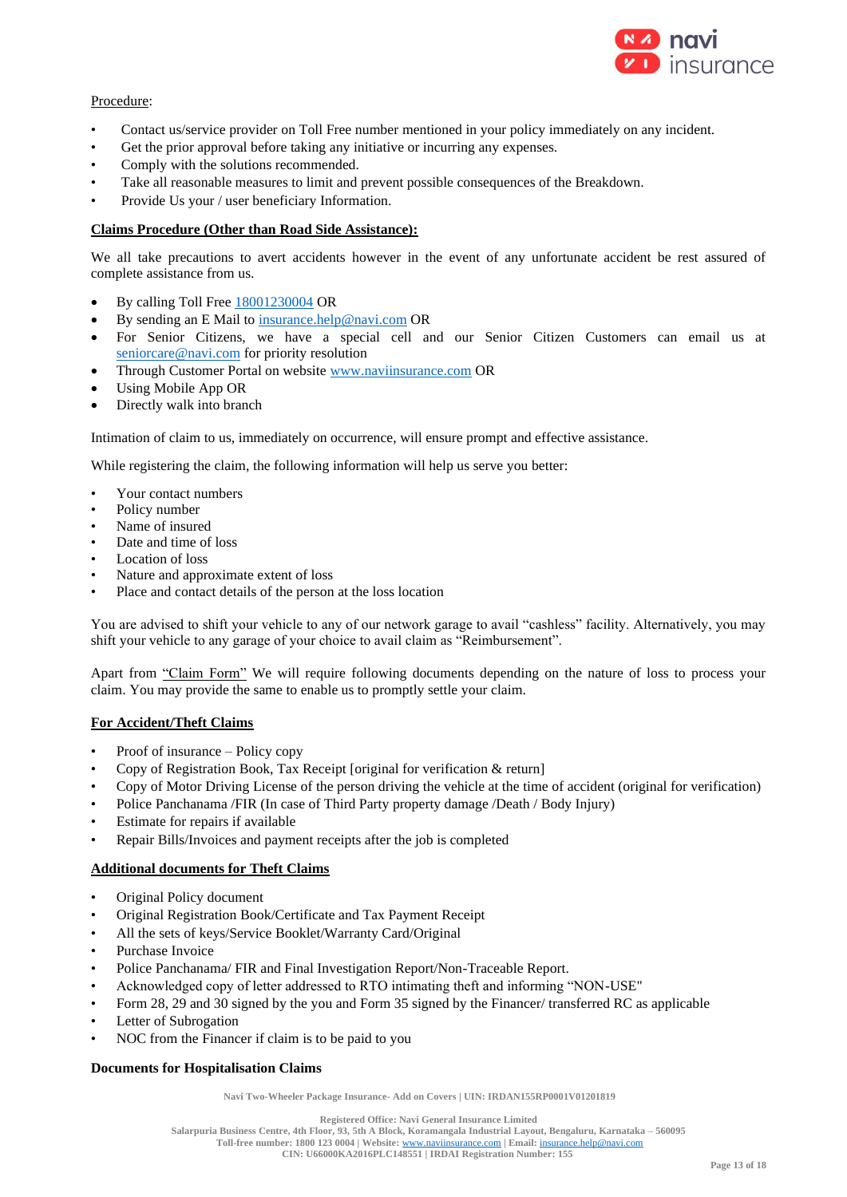

# Procedure:

- Contact us/service provider on Toll Free number mentioned in your policy immediately on any incident.
- Get the prior approval before taking any initiative or incurring any expenses.
- Comply with the solutions recommended.
- Take all reasonable measures to limit and prevent possible consequences of the Breakdown.
- Provide Us your / user beneficiary Information.

## **Claims Procedure (Other than Road Side Assistance):**

We all take precautions to avert accidents however in the event of any unfortunate accident be rest assured of complete assistance from us.

- By calling Toll Free  $18001230004$  OR
- By sending an E Mail to insurance.help@navi.com OR
- For Senior Citizens, we have a special cell and our Senior Citizen Customers can email us at seniorcare@navi.com for priority resolution
- Through Customer Portal on website www.naviinsurance.com OR
- Using Mobile App OR
- Directly walk into branch

Intimation of claim to us, immediately on occurrence, will ensure prompt and effective assistance.

While registering the claim, the following information will help us serve you better:

- Your contact numbers
- Policy number
- Name of insured
- Date and time of loss
- Location of loss
- Nature and approximate extent of loss
- Place and contact details of the person at the loss location

You are advised to shift your vehicle to any of our network garage to avail "cashless" facility. Alternatively, you may shift your vehicle to any garage of your choice to avail claim as "Reimbursement".

Apart from "Claim Form" We will require following documents depending on the nature of loss to process your claim. You may provide the same to enable us to promptly settle your claim.

### **For Accident/Theft Claims**

- Proof of insurance Policy copy
- Copy of Registration Book, Tax Receipt [original for verification & return]
- Copy of Motor Driving License of the person driving the vehicle at the time of accident (original for verification)
- Police Panchanama /FIR (In case of Third Party property damage /Death / Body Injury)
- Estimate for repairs if available
- Repair Bills/Invoices and payment receipts after the job is completed

### **Additional documents for Theft Claims**

- Original Policy document
- Original Registration Book/Certificate and Tax Payment Receipt
- All the sets of keys/Service Booklet/Warranty Card/Original
- Purchase Invoice
- Police Panchanama/ FIR and Final Investigation Report/Non-Traceable Report.
- Acknowledged copy of letter addressed to RTO intimating theft and informing "NON-USE"
- Form 28, 29 and 30 signed by the you and Form 35 signed by the Financer/ transferred RC as applicable
- Letter of Subrogation
- NOC from the Financer if claim is to be paid to you

#### **Documents for Hospitalisation Claims**

**Navi Two-Wheeler Package Insurance- Add on Covers | UIN: IRDAN155RP0001V01201819**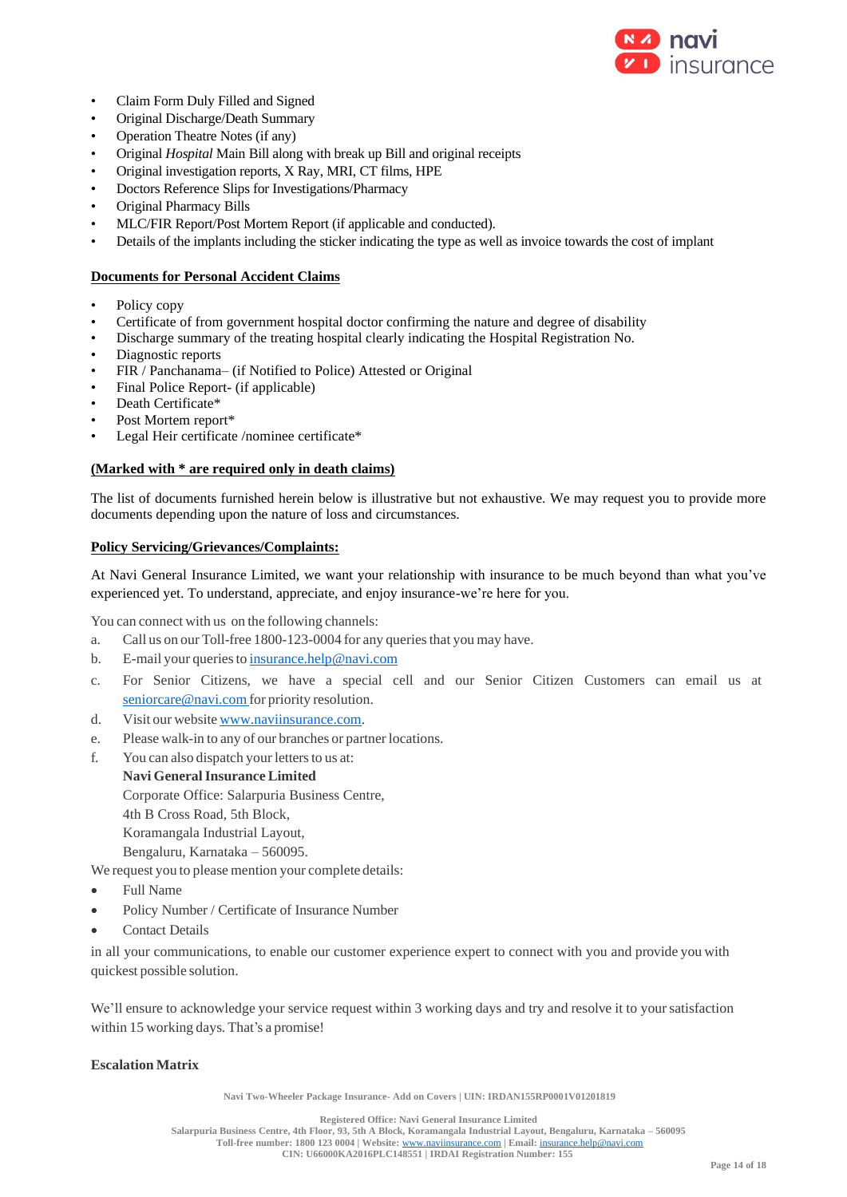

- Claim Form Duly Filled and Signed
- Original Discharge/Death Summary
- Operation Theatre Notes (if any)
- Original *Hospital* Main Bill along with break up Bill and original receipts
- Original investigation reports, X Ray, MRI, CT films, HPE
- Doctors Reference Slips for Investigations/Pharmacy
- Original Pharmacy Bills
- MLC/FIR Report/Post Mortem Report (if applicable and conducted).
- Details of the implants including the sticker indicating the type as well as invoice towards the cost of implant

# **Documents for Personal Accident Claims**

- Policy copy
- Certificate of from government hospital doctor confirming the nature and degree of disability
- Discharge summary of the treating hospital clearly indicating the Hospital Registration No.
- Diagnostic reports
- FIR / Panchanama– (if Notified to Police) Attested or Original
- Final Police Report- (if applicable)
- Death Certificate\*
- Post Mortem report\*
- Legal Heir certificate /nominee certificate\*

### **(Marked with \* are required only in death claims)**

The list of documents furnished herein below is illustrative but not exhaustive. We may request you to provide more documents depending upon the nature of loss and circumstances.

#### **Policy Servicing/Grievances/Complaints:**

At Navi General Insurance Limited, we want your relationship with insurance to be much beyond than what you've experienced yet. To understand, appreciate, and enjoy insurance-we're here for you.

You can connect with us on the following channels:

- a. Call us on our Toll-free 1800-123-0004 for any queriesthat you may have.
- b. E-mail your queries to insurance.help@navi.com
- c. For Senior Citizens, we have a special cell and our Senior Citizen Customers can email us at [seniorcare@navi.com](mailto:seniorcare@cocogeneralinsurance.com) for priority resolution.
- d. Visit our website www.naviinsurance.com.
- e. Please walk-in to any of our branches or partner locations.
- f. You can also dispatch your letters to us at:

**Navi GeneralInsurance Limited**

Corporate Office: Salarpuria Business Centre,

4th B Cross Road, 5th Block,

Koramangala Industrial Layout,

Bengaluru, Karnataka – 560095.

- We request you to please mention your complete details:
- Full Name
- Policy Number / Certificate of Insurance Number
- **Contact Details**

in all your communications, to enable our customer experience expert to connect with you and provide you with quickest possible solution.

We'll ensure to acknowledge your service request within 3 working days and try and resolve it to your satisfaction within 15 working days. That's a promise!

### **Escalation Matrix**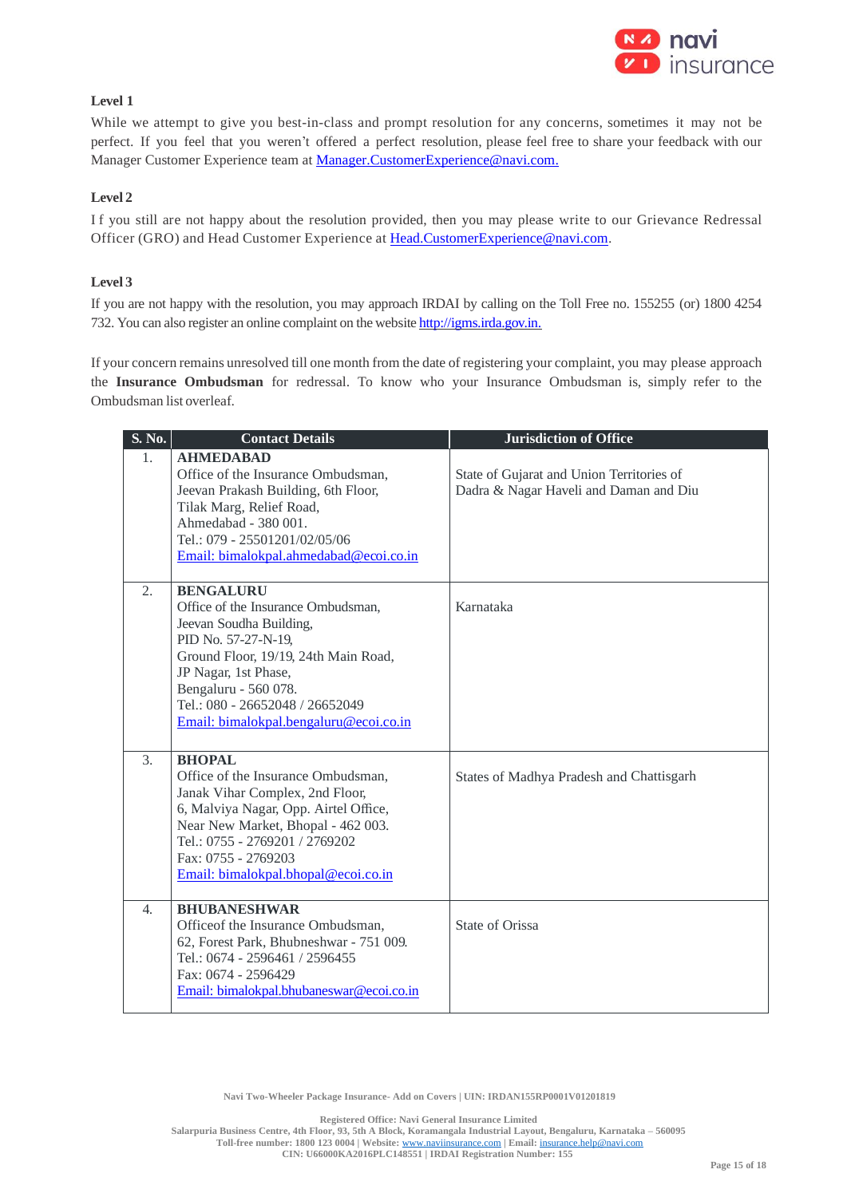

# **Level 1**

While we attempt to give you best-in-class and prompt resolution for any concerns, sometimes it may not be perfect. If you feel that you weren't offered a perfect resolution, please feel free to share your feedback with our Manager Customer Experience team at **Manager.CustomerExperience@navi.com.** 

# **Level 2**

I f you still are not happy about the resolution provided, then you may please write to our Grievance Redressal Officer (GRO) and Head Customer Experience at [Head.CustomerExperience@navi.com.](mailto:Head.CustomerExperience@cocogeneralinsurance.com)

## **Level 3**

If you are not happy with the resolution, you may approach IRDAI by calling on the Toll Free no. 155255 (or) 1800 4254 732. You can also register an online complaint on the website [http://igms.irda.gov.in.](http://igms.irda.gov.in/)

If your concern remains unresolved till one month from the date of registering your complaint, you may please approach the **Insurance Ombudsman** for redressal. To know who your Insurance Ombudsman is, simply refer to the Ombudsman list overleaf.

| S. No.           | <b>Contact Details</b>                                                                                                                                                                                                                                                        | <b>Jurisdiction of Office</b>                                                       |
|------------------|-------------------------------------------------------------------------------------------------------------------------------------------------------------------------------------------------------------------------------------------------------------------------------|-------------------------------------------------------------------------------------|
| 1.               | <b>AHMEDABAD</b><br>Office of the Insurance Ombudsman,<br>Jeevan Prakash Building, 6th Floor,<br>Tilak Marg, Relief Road,<br>Ahmedabad - 380 001.<br>Tel.: 079 - 25501201/02/05/06<br>Email: bimalokpal.ahmedabad@ecoi.co.in                                                  | State of Gujarat and Union Territories of<br>Dadra & Nagar Haveli and Daman and Diu |
| 2.               | <b>BENGALURU</b><br>Office of the Insurance Ombudsman,<br>Jeevan Soudha Building,<br>PID No. 57-27-N-19,<br>Ground Floor, 19/19, 24th Main Road,<br>JP Nagar, 1st Phase,<br>Bengaluru - 560 078.<br>Tel.: 080 - 26652048 / 26652049<br>Email: bimalokpal.bengaluru@ecoi.co.in | Karnataka                                                                           |
| 3.               | <b>BHOPAL</b><br>Office of the Insurance Ombudsman,<br>Janak Vihar Complex, 2nd Floor,<br>6, Malviya Nagar, Opp. Airtel Office,<br>Near New Market, Bhopal - 462 003.<br>Tel.: 0755 - 2769201 / 2769202<br>Fax: 0755 - 2769203<br>Email: bimalokpal.bhopal@ecoi.co.in         | States of Madhya Pradesh and Chattisgarh                                            |
| $\overline{4}$ . | <b>BHUBANESHWAR</b><br>Office of the Insurance Ombudsman,<br>62, Forest Park, Bhubneshwar - 751 009.<br>Tel.: 0674 - 2596461 / 2596455<br>Fax: 0674 - 2596429<br>Email: bimalokpal.bhubaneswar@ecoi.co.in                                                                     | State of Orissa                                                                     |

**Navi Two-Wheeler Package Insurance- Add on Covers | UIN: IRDAN155RP0001V01201819**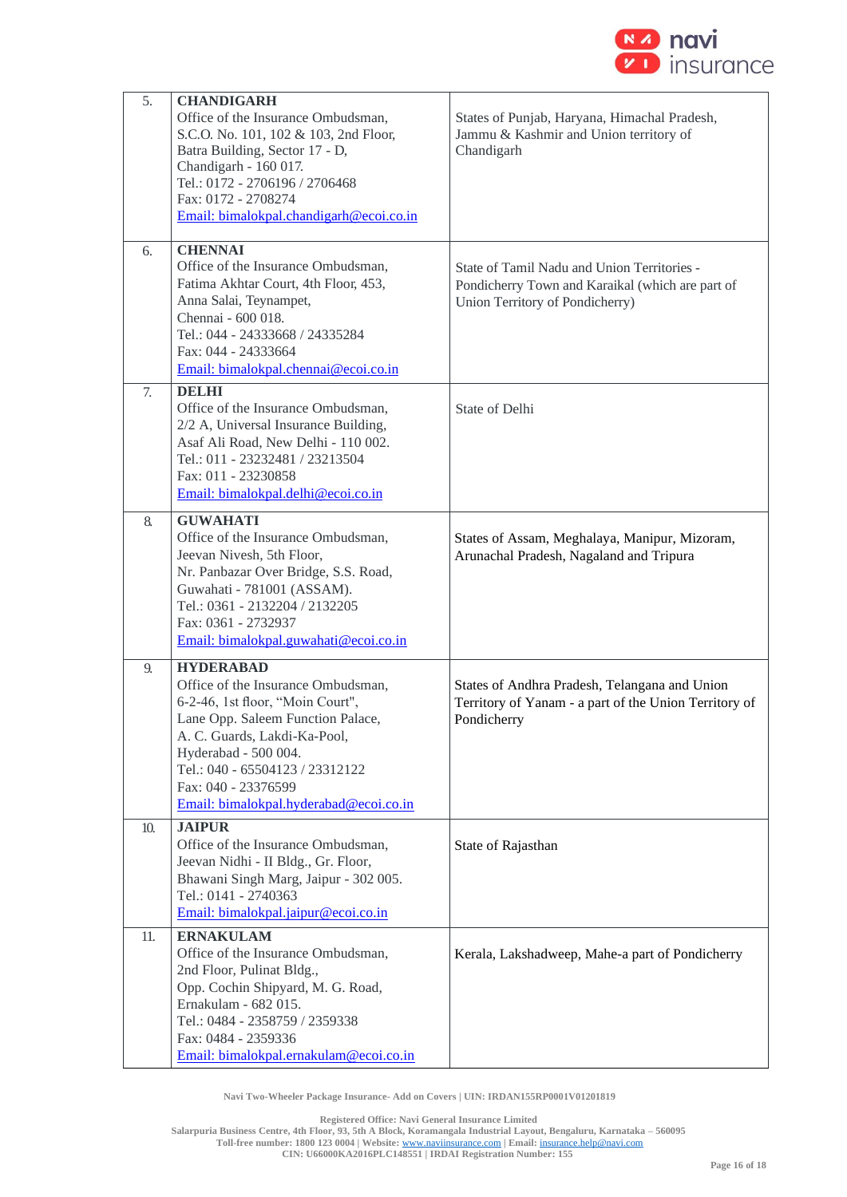

| 5.  | <b>CHANDIGARH</b>                                         |                                                       |
|-----|-----------------------------------------------------------|-------------------------------------------------------|
|     | Office of the Insurance Ombudsman,                        | States of Punjab, Haryana, Himachal Pradesh,          |
|     | S.C.O. No. 101, 102 & 103, 2nd Floor,                     | Jammu & Kashmir and Union territory of                |
|     | Batra Building, Sector 17 - D,                            | Chandigarh                                            |
|     | Chandigarh - 160 017.                                     |                                                       |
|     | Tel.: 0172 - 2706196 / 2706468                            |                                                       |
|     | Fax: 0172 - 2708274                                       |                                                       |
|     | Email: bimalokpal.chandigarh@ecoi.co.in                   |                                                       |
|     |                                                           |                                                       |
| 6.  | <b>CHENNAI</b>                                            |                                                       |
|     | Office of the Insurance Ombudsman,                        | State of Tamil Nadu and Union Territories -           |
|     | Fatima Akhtar Court, 4th Floor, 453,                      | Pondicherry Town and Karaikal (which are part of      |
|     | Anna Salai, Teynampet,                                    | Union Territory of Pondicherry)                       |
|     | Chennai - 600 018.                                        |                                                       |
|     | Tel.: 044 - 24333668 / 24335284                           |                                                       |
|     | Fax: 044 - 24333664                                       |                                                       |
|     | Email: bimalokpal.chennai@ecoi.co.in                      |                                                       |
| 7.  | <b>DELHI</b>                                              |                                                       |
|     | Office of the Insurance Ombudsman,                        | <b>State of Delhi</b>                                 |
|     | 2/2 A, Universal Insurance Building,                      |                                                       |
|     | Asaf Ali Road, New Delhi - 110 002.                       |                                                       |
|     | Tel.: 011 - 23232481 / 23213504                           |                                                       |
|     | Fax: 011 - 23230858                                       |                                                       |
|     | Email: bimalokpal.delhi@ecoi.co.in                        |                                                       |
| 8.  | <b>GUWAHATI</b>                                           |                                                       |
|     | Office of the Insurance Ombudsman,                        | States of Assam, Meghalaya, Manipur, Mizoram,         |
|     | Jeevan Nivesh, 5th Floor,                                 | Arunachal Pradesh, Nagaland and Tripura               |
|     | Nr. Panbazar Over Bridge, S.S. Road,                      |                                                       |
|     | Guwahati - 781001 (ASSAM).                                |                                                       |
|     | Tel.: 0361 - 2132204 / 2132205                            |                                                       |
|     | Fax: 0361 - 2732937                                       |                                                       |
|     | Email: bimalokpal.guwahati@ecoi.co.in                     |                                                       |
| 9.  | <b>HYDERABAD</b>                                          |                                                       |
|     | Office of the Insurance Ombudsman,                        | States of Andhra Pradesh, Telangana and Union         |
|     | 6-2-46, 1st floor, "Moin Court",                          | Territory of Yanam - a part of the Union Territory of |
|     | Lane Opp. Saleem Function Palace,                         | Pondicherry                                           |
|     | A. C. Guards, Lakdi-Ka-Pool,                              |                                                       |
|     | Hyderabad - 500 004.                                      |                                                       |
|     | Tel.: 040 - 65504123 / 23312122                           |                                                       |
|     | Fax: 040 - 23376599                                       |                                                       |
|     | Email: bimalokpal.hyderabad@ecoi.co.in                    |                                                       |
| 10. | <b>JAIPUR</b>                                             |                                                       |
|     | Office of the Insurance Ombudsman,                        | State of Rajasthan                                    |
|     | Jeevan Nidhi - II Bldg., Gr. Floor,                       |                                                       |
|     | Bhawani Singh Marg, Jaipur - 302 005.                     |                                                       |
|     | Tel.: 0141 - 2740363                                      |                                                       |
|     | Email: bimalokpal.jaipur@ecoi.co.in                       |                                                       |
|     |                                                           |                                                       |
| 11. | <b>ERNAKULAM</b>                                          |                                                       |
|     | Office of the Insurance Ombudsman,                        | Kerala, Lakshadweep, Mahe-a part of Pondicherry       |
|     | 2nd Floor, Pulinat Bldg.,                                 |                                                       |
|     | Opp. Cochin Shipyard, M. G. Road,<br>Ernakulam - 682 015. |                                                       |
|     |                                                           |                                                       |
|     | Tel.: 0484 - 2358759 / 2359338<br>Fax: 0484 - 2359336     |                                                       |
|     |                                                           |                                                       |
|     | Email: bimalokpal.ernakulam@ecoi.co.in                    |                                                       |

**Navi Two-Wheeler Package Insurance- Add on Covers | UIN: IRDAN155RP0001V01201819**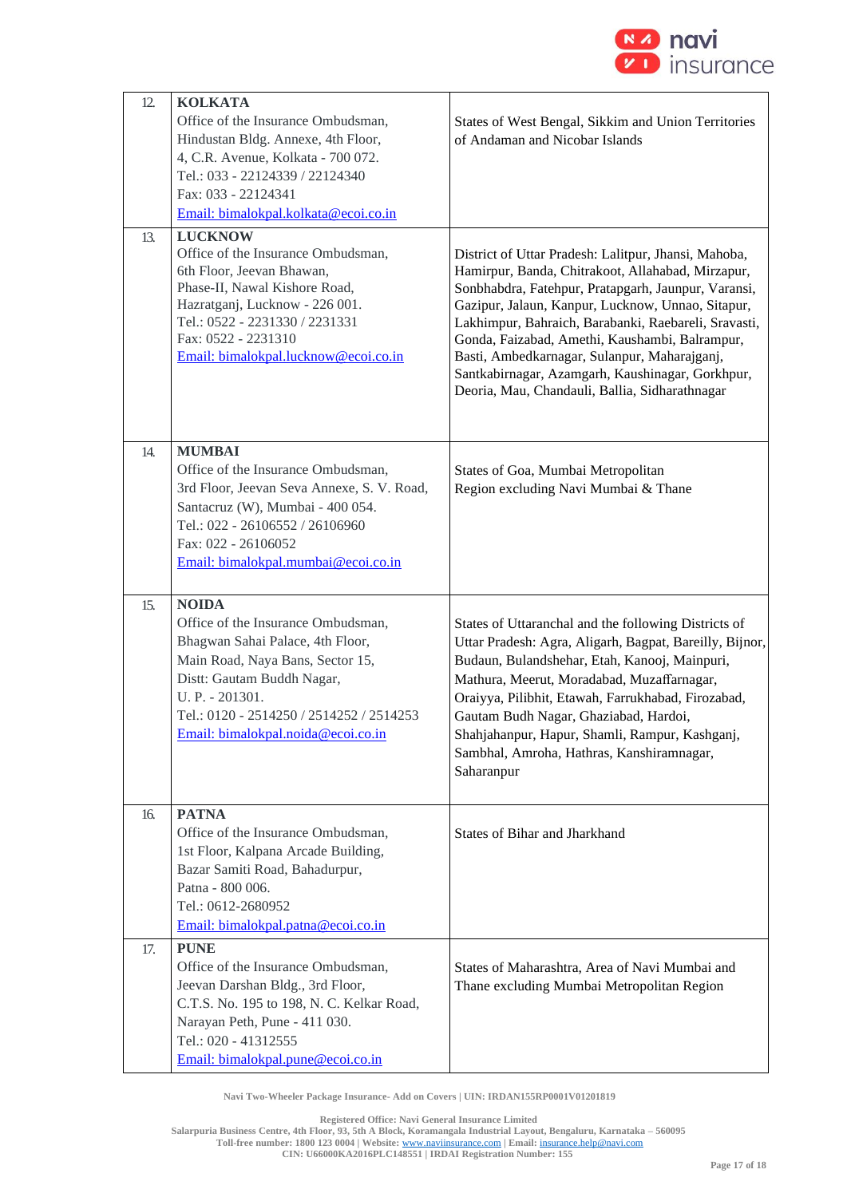

| 12. | <b>KOLKATA</b>                             |                                                         |
|-----|--------------------------------------------|---------------------------------------------------------|
|     | Office of the Insurance Ombudsman,         | States of West Bengal, Sikkim and Union Territories     |
|     | Hindustan Bldg. Annexe, 4th Floor,         | of Andaman and Nicobar Islands                          |
|     | 4, C.R. Avenue, Kolkata - 700 072.         |                                                         |
|     | Tel.: 033 - 22124339 / 22124340            |                                                         |
|     | Fax: 033 - 22124341                        |                                                         |
|     | Email: bimalokpal.kolkata@ecoi.co.in       |                                                         |
| 13. | <b>LUCKNOW</b>                             |                                                         |
|     | Office of the Insurance Ombudsman,         | District of Uttar Pradesh: Lalitpur, Jhansi, Mahoba,    |
|     | 6th Floor, Jeevan Bhawan,                  | Hamirpur, Banda, Chitrakoot, Allahabad, Mirzapur,       |
|     | Phase-II, Nawal Kishore Road,              | Sonbhabdra, Fatehpur, Pratapgarh, Jaunpur, Varansi,     |
|     | Hazratganj, Lucknow - 226 001.             | Gazipur, Jalaun, Kanpur, Lucknow, Unnao, Sitapur,       |
|     | Tel.: 0522 - 2231330 / 2231331             | Lakhimpur, Bahraich, Barabanki, Raebareli, Sravasti,    |
|     | Fax: 0522 - 2231310                        | Gonda, Faizabad, Amethi, Kaushambi, Balrampur,          |
|     | Email: bimalokpal.lucknow@ecoi.co.in       | Basti, Ambedkarnagar, Sulanpur, Maharajganj,            |
|     |                                            | Santkabirnagar, Azamgarh, Kaushinagar, Gorkhpur,        |
|     |                                            | Deoria, Mau, Chandauli, Ballia, Sidharathnagar          |
|     |                                            |                                                         |
|     |                                            |                                                         |
| 14. | <b>MUMBAI</b>                              |                                                         |
|     | Office of the Insurance Ombudsman,         | States of Goa, Mumbai Metropolitan                      |
|     | 3rd Floor, Jeevan Seva Annexe, S. V. Road, | Region excluding Navi Mumbai & Thane                    |
|     | Santacruz (W), Mumbai - 400 054.           |                                                         |
|     | Tel.: 022 - 26106552 / 26106960            |                                                         |
|     | Fax: 022 - 26106052                        |                                                         |
|     | Email: bimalokpal.mumbai@ecoi.co.in        |                                                         |
| 15. | <b>NOIDA</b>                               |                                                         |
|     | Office of the Insurance Ombudsman,         | States of Uttaranchal and the following Districts of    |
|     | Bhagwan Sahai Palace, 4th Floor,           | Uttar Pradesh: Agra, Aligarh, Bagpat, Bareilly, Bijnor, |
|     | Main Road, Naya Bans, Sector 15,           | Budaun, Bulandshehar, Etah, Kanooj, Mainpuri,           |
|     | Distt: Gautam Buddh Nagar,                 | Mathura, Meerut, Moradabad, Muzaffarnagar,              |
|     | U.P. - 201301.                             | Oraiyya, Pilibhit, Etawah, Farrukhabad, Firozabad,      |
|     | Tel.: 0120 - 2514250 / 2514252 / 2514253   | Gautam Budh Nagar, Ghaziabad, Hardoi,                   |
|     | Email: bimalokpal.noida@ecoi.co.in         | Shahjahanpur, Hapur, Shamli, Rampur, Kashganj,          |
|     |                                            | Sambhal, Amroha, Hathras, Kanshiramnagar,               |
|     |                                            | Saharanpur                                              |
|     |                                            |                                                         |
| 16. | <b>PATNA</b>                               |                                                         |
|     | Office of the Insurance Ombudsman,         | States of Bihar and Jharkhand                           |
|     | 1st Floor, Kalpana Arcade Building,        |                                                         |
|     | Bazar Samiti Road, Bahadurpur,             |                                                         |
|     | Patna - 800 006.                           |                                                         |
|     | Tel.: 0612-2680952                         |                                                         |
|     | Email: bimalokpal.patna@ecoi.co.in         |                                                         |
| 17. | <b>PUNE</b>                                |                                                         |
|     | Office of the Insurance Ombudsman,         | States of Maharashtra, Area of Navi Mumbai and          |
|     | Jeevan Darshan Bldg., 3rd Floor,           |                                                         |
|     | C.T.S. No. 195 to 198, N. C. Kelkar Road,  | Thane excluding Mumbai Metropolitan Region              |
|     | Narayan Peth, Pune - 411 030.              |                                                         |
|     | Tel.: 020 - 41312555                       |                                                         |
|     |                                            |                                                         |
|     | Email: bimalokpal.pune@ecoi.co.in          |                                                         |

**Navi Two-Wheeler Package Insurance- Add on Covers | UIN: IRDAN155RP0001V01201819**